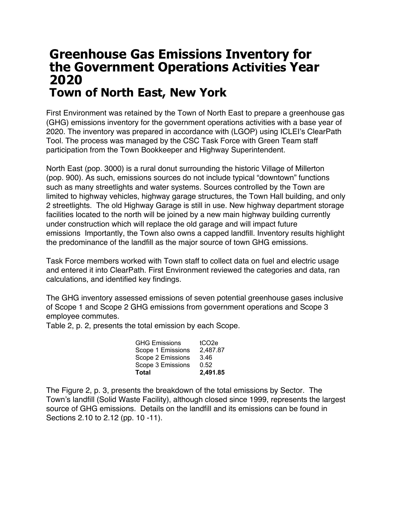## **Greenhouse Gas Emissions Inventory for the Government Operations Activities Year 2020 Town of North East, New York**

First Environment was retained by the Town of North East to prepare a greenhouse gas (GHG) emissions inventory for the government operations activities with a base year of 2020. The inventory was prepared in accordance with (LGOP) using ICLEI's ClearPath Tool. The process was managed by the CSC Task Force with Green Team staff participation from the Town Bookkeeper and Highway Superintendent.

North East (pop. 3000) is a rural donut surrounding the historic Village of Millerton (pop. 900). As such, emissions sources do not include typical "downtown" functions such as many streetlights and water systems. Sources controlled by the Town are limited to highway vehicles, highway garage structures, the Town Hall building, and only 2 streetlights. The old Highway Garage is still in use. New highway department storage facilities located to the north will be joined by a new main highway building currently under construction which will replace the old garage and will impact future emissions Importantly, the Town also owns a capped landfill. Inventory results highlight the predominance of the landfill as the major source of town GHG emissions.

Task Force members worked with Town staff to collect data on fuel and electric usage and entered it into ClearPath. First Environment reviewed the categories and data, ran calculations, and identified key findings.

The GHG inventory assessed emissions of seven potential greenhouse gases inclusive of Scope 1 and Scope 2 GHG emissions from government operations and Scope 3 employee commutes.

Table 2, p. 2, presents the total emission by each Scope.

| <b>GHG Emissions</b> | tCO <sub>2e</sub> |
|----------------------|-------------------|
| Scope 1 Emissions    | 2,487.87          |
| Scope 2 Emissions    | 3.46              |
| Scope 3 Emissions    | 0.52              |
| <b>Total</b>         | 2,491.85          |

The Figure 2, p. 3, presents the breakdown of the total emissions by Sector. The Town's landfill (Solid Waste Facility), although closed since 1999, represents the largest source of GHG emissions. Details on the landfill and its emissions can be found in Sections 2.10 to 2.12 (pp. 10 -11).